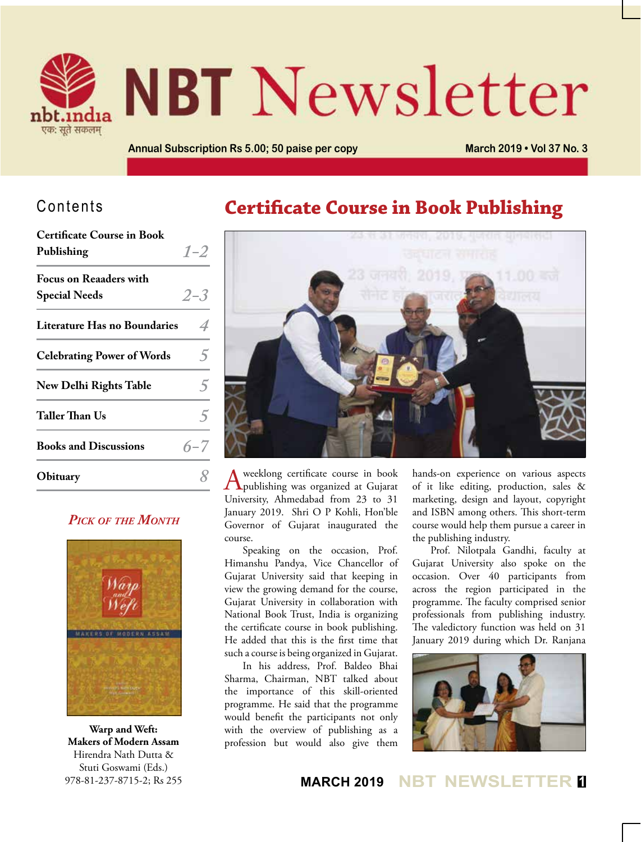

# **NBT** Newsletter

**Annual Subscription Rs 5.00; 50 paise per copy March 2019 • Vol 37 No. 3**

## Contents

| <b>Certificate Course in Book</b>   |         |
|-------------------------------------|---------|
| Publishing                          | $1 - 2$ |
| <b>Focus on Reaaders with</b>       |         |
| <b>Special Needs</b>                | $2 - 3$ |
| <b>Literature Has no Boundaries</b> |         |
| <b>Celebrating Power of Words</b>   |         |
| <b>New Delhi Rights Table</b>       | 5       |
| Taller Than Us                      |         |
| <b>Books and Discussions</b>        | $6 - 7$ |
| Obituary                            |         |

#### *Pick of the Month*



**Warp and Weft: Makers of Modern Assam** Hirendra Nath Dutta & Stuti Goswami (Eds.) 978-81-237-8715-2; Rs 255

## **Certificate Course in Book Publishing**



A weeklong certificate course in book<br>publishing was organized at Gujarat University, Ahmedabad from 23 to 31 January 2019. Shri O P Kohli, Hon'ble Governor of Gujarat inaugurated the course.

Speaking on the occasion, Prof. Himanshu Pandya, Vice Chancellor of Gujarat University said that keeping in view the growing demand for the course, Gujarat University in collaboration with National Book Trust, India is organizing the certificate course in book publishing. He added that this is the first time that such a course is being organized in Gujarat.

In his address, Prof. Baldeo Bhai Sharma, Chairman, NBT talked about the importance of this skill-oriented programme. He said that the programme would benefit the participants not only with the overview of publishing as a profession but would also give them hands-on experience on various aspects of it like editing, production, sales & marketing, design and layout, copyright and ISBN among others. This short-term course would help them pursue a career in the publishing industry.

Prof. Nilotpala Gandhi, faculty at Gujarat University also spoke on the occasion. Over 40 participants from across the region participated in the programme. The faculty comprised senior professionals from publishing industry. The valedictory function was held on 31 January 2019 during which Dr. Ranjana



### **MARCH 2019 NBT NEWSLET**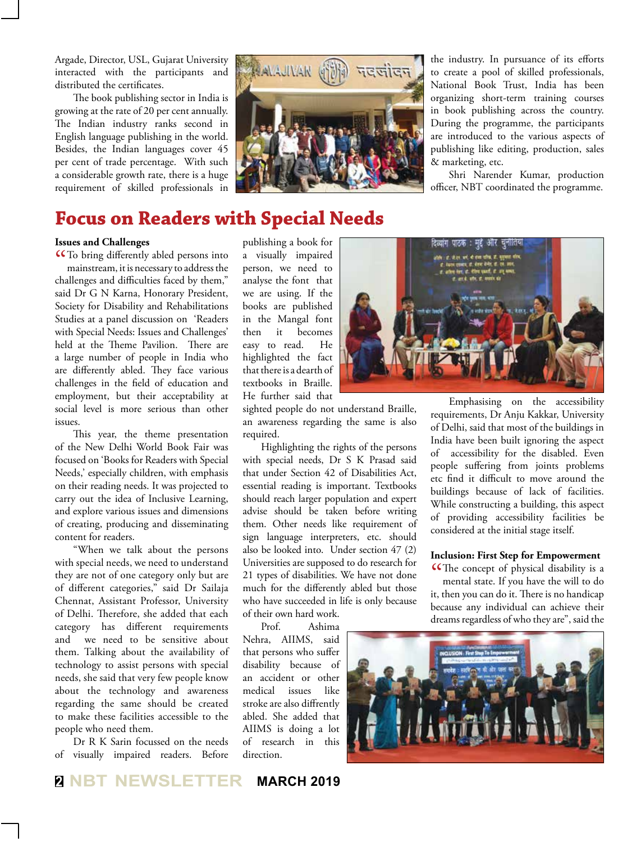Argade, Director, USL, Gujarat University interacted with the participants and distributed the certificates.

The book publishing sector in India is growing at the rate of 20 per cent annually. The Indian industry ranks second in English language publishing in the world. Besides, the Indian languages cover 45 per cent of trade percentage. With such a considerable growth rate, there is a huge requirement of skilled professionals in



the industry. In pursuance of its efforts to create a pool of skilled professionals, National Book Trust, India has been organizing short-term training courses in book publishing across the country. During the programme, the participants are introduced to the various aspects of publishing like editing, production, sales & marketing, etc.

Shri Narender Kumar, production officer, NBT coordinated the programme.

## **Focus on Readers with Special Needs**

#### **Issues and Challenges**

CCTo bring differently abled persons into<br>mainstream, it is necessary to address the<br> $\frac{1}{2}$ mainstream, it is necessary to address the challenges and difficulties faced by them," said Dr G N Karna, Honorary President, Society for Disability and Rehabilitations Studies at a panel discussion on 'Readers with Special Needs: Issues and Challenges' held at the Theme Pavilion. There are a large number of people in India who are differently abled. They face various challenges in the field of education and employment, but their acceptability at social level is more serious than other issues.

This year, the theme presentation of the New Delhi World Book Fair was focused on 'Books for Readers with Special Needs,' especially children, with emphasis on their reading needs. It was projected to carry out the idea of Inclusive Learning, and explore various issues and dimensions of creating, producing and disseminating content for readers.

"When we talk about the persons with special needs, we need to understand they are not of one category only but are of different categories," said Dr Sailaja Chennat, Assistant Professor, University of Delhi. Therefore, she added that each category has different requirements and we need to be sensitive about them. Talking about the availability of technology to assist persons with special needs, she said that very few people know about the technology and awareness regarding the same should be created to make these facilities accessible to the people who need them.

Dr R K Sarin focussed on the needs of visually impaired readers. Before

publishing a book for a visually impaired person, we need to analyse the font that we are using. If the books are published in the Mangal font then it becomes easy to read. He highlighted the fact that there is a dearth of textbooks in Braille. He further said that

sighted people do not understand Braille, an awareness regarding the same is also required.

Highlighting the rights of the persons with special needs, Dr S K Prasad said that under Section 42 of Disabilities Act, essential reading is important. Textbooks should reach larger population and expert advise should be taken before writing them. Other needs like requirement of sign language interpreters, etc. should also be looked into. Under section 47 (2) Universities are supposed to do research for 21 types of disabilities. We have not done much for the differently abled but those who have succeeded in life is only because of their own hard work.

Prof. Ashima Nehra, AIIMS, said that persons who suffer disability because of an accident or other medical issues like stroke are also diffrently abled. She added that AIIMS is doing a lot of research in this direction.



Emphasising on the accessibility requirements, Dr Anju Kakkar, University of Delhi, said that most of the buildings in India have been built ignoring the aspect of accessibility for the disabled. Even people suffering from joints problems etc find it difficult to move around the buildings because of lack of facilities. While constructing a building, this aspect of providing accessibility facilities be considered at the initial stage itself.

#### **Inclusion: First Step for Empowerment**

The concept of physical disability is a mental state. If you have the will to do mental state. If you have the will to do it, then you can do it. There is no handicap because any individual can achieve their dreams regardless of who they are", said the

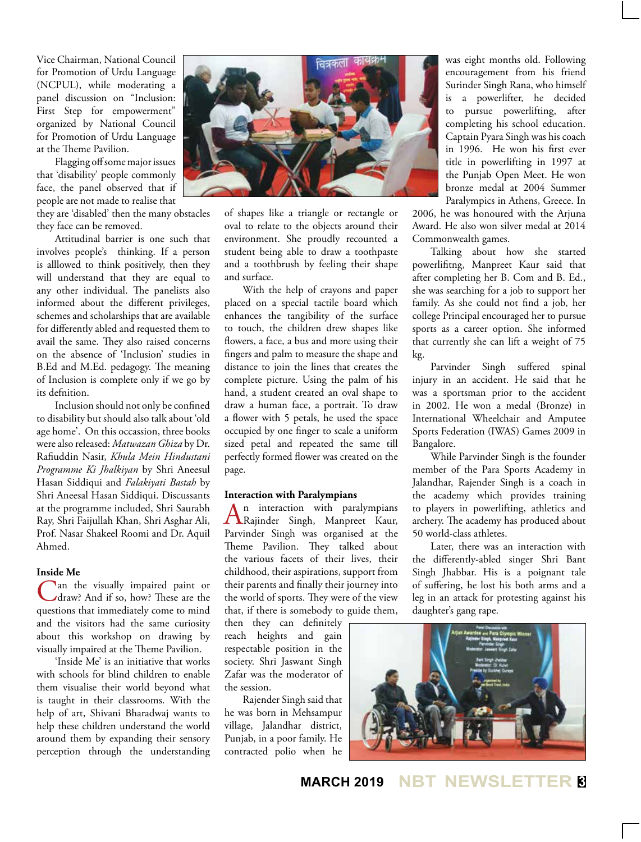Vice Chairman, National Council for Promotion of Urdu Language (NCPUL), while moderating a panel discussion on "Inclusion: First Step for empowerment" organized by National Council for Promotion of Urdu Language at the Theme Pavilion.

Flagging off some major issues that 'disability' people commonly face, the panel observed that if people are not made to realise that

they are 'disabled' then the many obstacles they face can be removed.

Attitudinal barrier is one such that involves people's thinking. If a person is alllowed to think positively, then they will understand that they are equal to any other individual. The panelists also informed about the different privileges, schemes and scholarships that are available for differently abled and requested them to avail the same. They also raised concerns on the absence of 'Inclusion' studies in B.Ed and M.Ed. pedagogy. The meaning of Inclusion is complete only if we go by its defnition.

Inclusion should not only be confined to disability but should also talk about 'old age home'. On this occassion, three books were also released: *Matwazan Ghiza* by Dr. Rafiuddin Nasir, *Khula Mein Hindustani Programme Ki Jhalkiyan* by Shri Aneesul Hasan Siddiqui and *Falakiyati Bastah* by Shri Aneesal Hasan Siddiqui. Discussants at the programme included, Shri Saurabh Ray, Shri Faijullah Khan, Shri Asghar Ali, Prof. Nasar Shakeel Roomi and Dr. Aquil Ahmed.

#### **Inside Me**

Can the visually impaired paint or draw? And if so, how? These are the questions that immediately come to mind and the visitors had the same curiosity about this workshop on drawing by visually impaired at the Theme Pavilion.

'Inside Me' is an initiative that works with schools for blind children to enable them visualise their world beyond what is taught in their classrooms. With the help of art, Shivani Bharadwaj wants to help these children understand the world around them by expanding their sensory perception through the understanding



of shapes like a triangle or rectangle or oval to relate to the objects around their environment. She proudly recounted a student being able to draw a toothpaste and a toothbrush by feeling their shape and surface.

With the help of crayons and paper placed on a special tactile board which enhances the tangibility of the surface to touch, the children drew shapes like flowers, a face, a bus and more using their fingers and palm to measure the shape and distance to join the lines that creates the complete picture. Using the palm of his hand, a student created an oval shape to draw a human face, a portrait. To draw a flower with 5 petals, he used the space occupied by one finger to scale a uniform sized petal and repeated the same till perfectly formed flower was created on the page.

#### **Interaction with Paralympians**

An interaction with paralympians Rajinder Singh, Manpreet Kaur, Parvinder Singh was organised at the Theme Pavilion. They talked about the various facets of their lives, their childhood, their aspirations, support from their parents and finally their journey into the world of sports. They were of the view that, if there is somebody to guide them,

then they can definitely reach heights and gain respectable position in the society. Shri Jaswant Singh Zafar was the moderator of the session.

Rajender Singh said that he was born in Mehsampur village, Jalandhar district, Punjab, in a poor family. He contracted polio when he

was eight months old. Following encouragement from his friend Surinder Singh Rana, who himself is a powerlifter, he decided to pursue powerlifting, after completing his school education. Captain Pyara Singh was his coach in 1996. He won his first ever title in powerlifting in 1997 at the Punjab Open Meet. He won bronze medal at 2004 Summer Paralympics in Athens, Greece. In

2006, he was honoured with the Arjuna Award. He also won silver medal at 2014 Commonwealth games.

Talking about how she started powerlifitng, Manpreet Kaur said that after completing her B. Com and B. Ed., she was searching for a job to support her family. As she could not find a job, her college Principal encouraged her to pursue sports as a career option. She informed that currently she can lift a weight of 75 kg.

Parvinder Singh suffered spinal injury in an accident. He said that he was a sportsman prior to the accident in 2002. He won a medal (Bronze) in International Wheelchair and Amputee Sports Federation (IWAS) Games 2009 in Bangalore.

While Parvinder Singh is the founder member of the Para Sports Academy in Jalandhar, Rajender Singh is a coach in the academy which provides training to players in powerlifting, athletics and archery. The academy has produced about 50 world-class athletes.

Later, there was an interaction with the differently-abled singer Shri Bant Singh Jhabbar. His is a poignant tale of suffering, he lost his both arms and a leg in an attack for protesting against his daughter's gang rape.



**MARCH 2019 NBT NEWSLETTER <sup>3</sup>**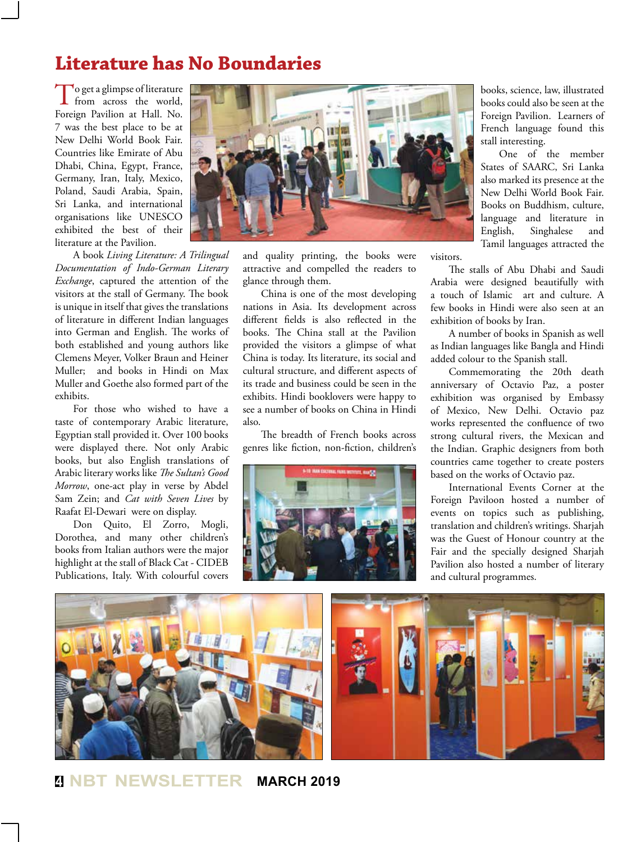## **Literature has No Boundaries**

To get a glimpse of literature from across the world, Foreign Pavilion at Hall. No. 7 was the best place to be at New Delhi World Book Fair. Countries like Emirate of Abu Dhabi, China, Egypt, France, Germany, Iran, Italy, Mexico, Poland, Saudi Arabia, Spain, Sri Lanka, and international organisations like UNESCO exhibited the best of their literature at the Pavilion.

A book *Living Literature: A Trilingual Documentation of Indo-German Literary Exchange*, captured the attention of the visitors at the stall of Germany. The book is unique in itself that gives the translations of literature in different Indian languages into German and English. The works of both established and young authors like Clemens Meyer, Volker Braun and Heiner Muller; and books in Hindi on Max Muller and Goethe also formed part of the exhibits.

For those who wished to have a taste of contemporary Arabic literature, Egyptian stall provided it. Over 100 books were displayed there. Not only Arabic books, but also English translations of Arabic literary works like *The Sultan's Good Morrow*, one-act play in verse by Abdel Sam Zein; and *Cat with Seven Lives* by Raafat El-Dewari were on display.

Don Quito, El Zorro, Mogli, Dorothea, and many other children's books from Italian authors were the major highlight at the stall of Black Cat - CIDEB Publications, Italy. With colourful covers



and quality printing, the books were attractive and compelled the readers to glance through them.

China is one of the most developing nations in Asia. Its development across different fields is also reflected in the books. The China stall at the Pavilion provided the visitors a glimpse of what China is today. Its literature, its social and cultural structure, and different aspects of its trade and business could be seen in the exhibits. Hindi booklovers were happy to see a number of books on China in Hindi also.

The breadth of French books across genres like fiction, non-fiction, children's



books, science, law, illustrated books could also be seen at the Foreign Pavilion. Learners of French language found this stall interesting.

One of the member States of SAARC, Sri Lanka also marked its presence at the New Delhi World Book Fair. Books on Buddhism, culture, language and literature in English, Singhalese and Tamil languages attracted the

visitors.

The stalls of Abu Dhabi and Saudi Arabia were designed beautifully with a touch of Islamic art and culture. A few books in Hindi were also seen at an exhibition of books by Iran.

A number of books in Spanish as well as Indian languages like Bangla and Hindi added colour to the Spanish stall.

Commemorating the 20th death anniversary of Octavio Paz, a poster exhibition was organised by Embassy of Mexico, New Delhi. Octavio paz works represented the confluence of two strong cultural rivers, the Mexican and the Indian. Graphic designers from both countries came together to create posters based on the works of Octavio paz.

International Events Corner at the Foreign Paviloon hosted a number of events on topics such as publishing, translation and children's writings. Sharjah was the Guest of Honour country at the Fair and the specially designed Sharjah Pavilion also hosted a number of literary and cultural programmes.

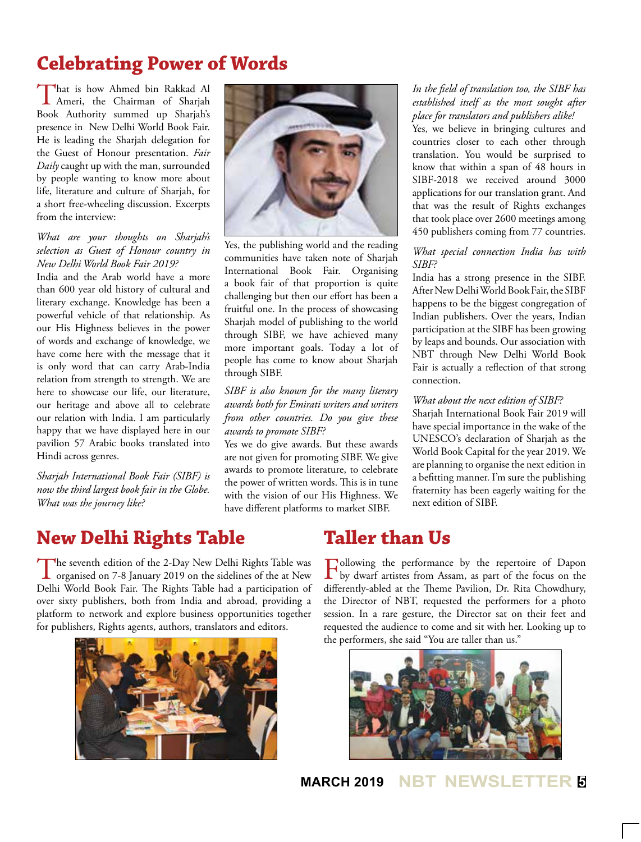## **Celebrating Power of Words**

That is how Ahmed bin Rakkad Al Ameri, the Chairman of Sharjah Book Authority summed up Sharjah's presence in New Delhi World Book Fair. He is leading the Sharjah delegation for the Guest of Honour presentation. *Fair Daily* caught up with the man, surrounded by people wanting to know more about life, literature and culture of Sharjah, for a short free-wheeling discussion. Excerpts from the interview:

#### *What are your thoughts on Sharjah's selection as Guest of Honour country in New Delhi World Book Fair 2019?*

India and the Arab world have a more than 600 year old history of cultural and literary exchange. Knowledge has been a powerful vehicle of that relationship. As our His Highness believes in the power of words and exchange of knowledge, we have come here with the message that it is only word that can carry Arab-India relation from strength to strength. We are here to showcase our life, our literature, our heritage and above all to celebrate our relation with India. I am particularly happy that we have displayed here in our pavilion 57 Arabic books translated into Hindi across genres.

*Sharjah International Book Fair (SIBF) is now the third largest book fair in the Globe. What was the journey like?* 



Yes, the publishing world and the reading communities have taken note of Sharjah International Book Fair. Organising a book fair of that proportion is quite challenging but then our effort has been a fruitful one. In the process of showcasing Sharjah model of publishing to the world through SIBF, we have achieved many more important goals. Today a lot of people has come to know about Sharjah through SIBF.

#### *SIBF is also known for the many literary awards both for Emirati writers and writers from other countries. Do you give these awards to promote SIBF?*

Yes we do give awards. But these awards are not given for promoting SIBF. We give awards to promote literature, to celebrate the power of written words. This is in tune with the vision of our His Highness. We have different platforms to market SIBF.

#### *In the field of translation too, the SIBF has established itself as the most sought after place for translators and publishers alike!*

Yes, we believe in bringing cultures and countries closer to each other through translation. You would be surprised to know that within a span of 48 hours in SIBF-2018 we received around 3000 applications for our translation grant. And that was the result of Rights exchanges that took place over 2600 meetings among 450 publishers coming from 77 countries.

#### *What special connection India has with SIBF?*

India has a strong presence in the SIBF. After New Delhi World Book Fair, the SIBF happens to be the biggest congregation of Indian publishers. Over the years, Indian participation at the SIBF has been growing by leaps and bounds. Our association with NBT through New Delhi World Book Fair is actually a reflection of that strong connection.

#### *What about the next edition of SIBF?*

Sharjah International Book Fair 2019 will have special importance in the wake of the UNESCO's declaration of Sharjah as the World Book Capital for the year 2019. We are planning to organise the next edition in a befitting manner. I'm sure the publishing fraternity has been eagerly waiting for the next edition of SIBF.

## **New Delhi Rights Table**

The seventh edition of the 2-Day New Delhi Rights Table was<br>organised on 7-8 January 2019 on the sidelines of the at New<br>Pulling Width Correction Correction of the attenuation of the state of the state of the state of the Delhi World Book Fair. The Rights Table had a participation of over sixty publishers, both from India and abroad, providing a platform to network and explore business opportunities together for publishers, Rights agents, authors, translators and editors.



## **Taller than Us**

Following the performance by the repertoire of Dapon by dwarf artistes from Assam, as part of the focus on the differently-abled at the Theme Pavilion, Dr. Rita Chowdhury, the Director of NBT, requested the performers for a photo session. In a rare gesture, the Director sat on their feet and requested the audience to come and sit with her. Looking up to the performers, she said "You are taller than us."



**MARCH 2019 NBT NEWSLETTER <sup>5</sup>**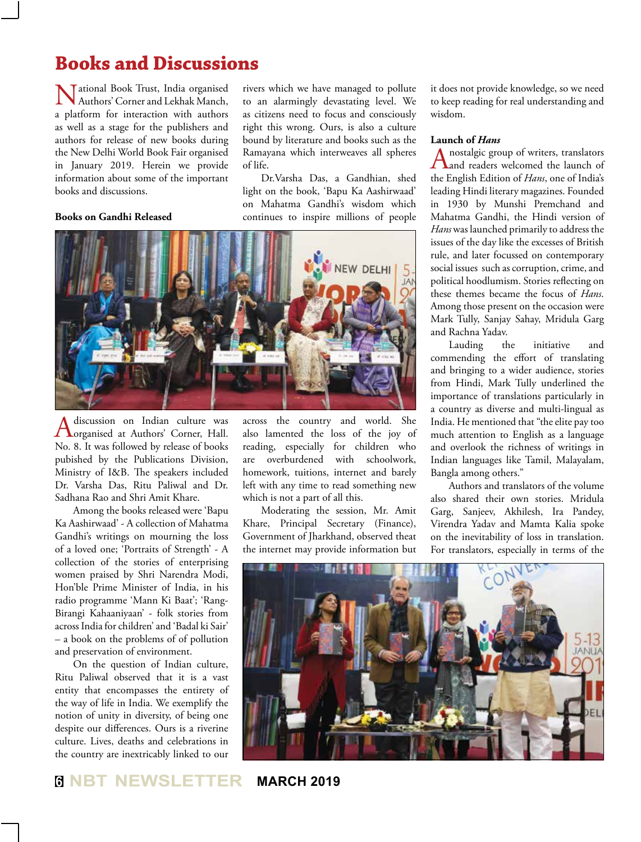## **Books and Discussions**

National Book Trust, India organised Authors' Corner and Lekhak Manch, a platform for interaction with authors as well as a stage for the publishers and authors for release of new books during the New Delhi World Book Fair organised in January 2019. Herein we provide information about some of the important books and discussions.

#### **Books on Gandhi Released**

rivers which we have managed to pollute to an alarmingly devastating level. We as citizens need to focus and consciously right this wrong. Ours, is also a culture bound by literature and books such as the Ramayana which interweaves all spheres of life.

Dr.Varsha Das, a Gandhian, shed light on the book, 'Bapu Ka Aashirwaad' on Mahatma Gandhi's wisdom which continues to inspire millions of people



A discussion on Indian culture was<br>
organised at Authors' Corner, Hall. No. 8. It was followed by release of books pubished by the Publications Division, Ministry of I&B. The speakers included Dr. Varsha Das, Ritu Paliwal and Dr. Sadhana Rao and Shri Amit Khare.

Among the books released were 'Bapu Ka Aashirwaad' - A collection of Mahatma Gandhi's writings on mourning the loss of a loved one; 'Portraits of Strength' - A collection of the stories of enterprising women praised by Shri Narendra Modi, Hon'ble Prime Minister of India, in his radio programme 'Mann Ki Baat'; 'Rang-Birangi Kahaaniyaan' - folk stories from across India for children' and 'Badal ki Sair' – a book on the problems of of pollution and preservation of environment.

On the question of Indian culture, Ritu Paliwal observed that it is a vast entity that encompasses the entirety of the way of life in India. We exemplify the notion of unity in diversity, of being one despite our differences. Ours is a riverine culture. Lives, deaths and celebrations in the country are inextricably linked to our

across the country and world. She also lamented the loss of the joy of reading, especially for children who are overburdened with schoolwork, homework, tuitions, internet and barely left with any time to read something new which is not a part of all this.

Moderating the session, Mr. Amit Khare, Principal Secretary (Finance), Government of Jharkhand, observed theat the internet may provide information but it does not provide knowledge, so we need to keep reading for real understanding and wisdom.

#### **Launch of** *Hans*

A nostalgic group of writers, translators<br>and readers welcomed the launch of the English Edition of *Hans*, one of India's leading Hindi literary magazines. Founded in 1930 by Munshi Premchand and Mahatma Gandhi, the Hindi version of *Hans* was launched primarily to address the issues of the day like the excesses of British rule, and later focussed on contemporary social issues such as corruption, crime, and political hoodlumism. Stories reflecting on these themes became the focus of *Hans*. Among those present on the occasion were Mark Tully, Sanjay Sahay, Mridula Garg and Rachna Yadav.

Lauding the initiative and commending the effort of translating and bringing to a wider audience, stories from Hindi, Mark Tully underlined the importance of translations particularly in a country as diverse and multi-lingual as India. He mentioned that "the elite pay too much attention to English as a language and overlook the richness of writings in Indian languages like Tamil, Malayalam, Bangla among others."

Authors and translators of the volume also shared their own stories. Mridula Garg, Sanjeev, Akhilesh, Ira Pandey, Virendra Yadav and Mamta Kalia spoke on the inevitability of loss in translation. For translators, especially in terms of the

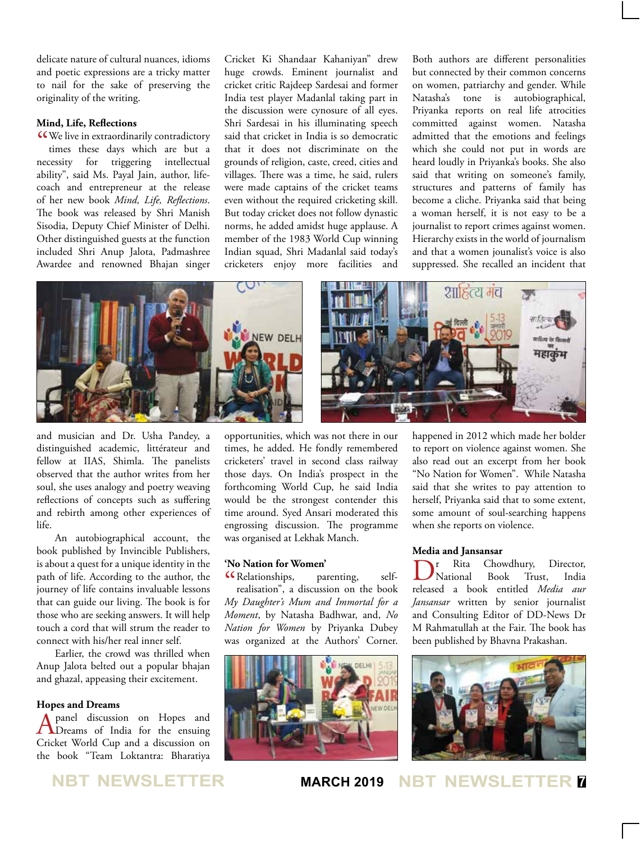delicate nature of cultural nuances, idioms and poetic expressions are a tricky matter to nail for the sake of preserving the originality of the writing.

#### **Mind, Life, Reflections**

CCWe live in extraordinarily contradictory<br>times these days which are but a times these days which are but a necessity for triggering intellectual ability", said Ms. Payal Jain, author, lifecoach and entrepreneur at the release of her new book *Mind, Life, Reflections*. The book was released by Shri Manish Sisodia, Deputy Chief Minister of Delhi. Other distinguished guests at the function included Shri Anup Jalota, Padmashree Awardee and renowned Bhajan singer

Cricket Ki Shandaar Kahaniyan" drew huge crowds. Eminent journalist and cricket critic Rajdeep Sardesai and former India test player Madanlal taking part in the discussion were cynosure of all eyes. Shri Sardesai in his illuminating speech said that cricket in India is so democratic that it does not discriminate on the grounds of religion, caste, creed, cities and villages. There was a time, he said, rulers were made captains of the cricket teams even without the required cricketing skill. But today cricket does not follow dynastic norms, he added amidst huge applause. A member of the 1983 World Cup winning Indian squad, Shri Madanlal said today's cricketers enjoy more facilities and

Both authors are different personalities but connected by their common concerns on women, patriarchy and gender. While Natasha's tone is autobiographical, Priyanka reports on real life atrocities committed against women. Natasha admitted that the emotions and feelings which she could not put in words are heard loudly in Priyanka's books. She also said that writing on someone's family, structures and patterns of family has become a cliche. Priyanka said that being a woman herself, it is not easy to be a journalist to report crimes against women. Hierarchy exists in the world of journalism and that a women jounalist's voice is also suppressed. She recalled an incident that



and musician and Dr. Usha Pandey, a distinguished academic, littérateur and fellow at IIAS, Shimla. The panelists observed that the author writes from her soul, she uses analogy and poetry weaving reflections of concepts such as suffering and rebirth among other experiences of life.

An autobiographical account, the book published by Invincible Publishers, is about a quest for a unique identity in the path of life. According to the author, the journey of life contains invaluable lessons that can guide our living. The book is for those who are seeking answers. It will help touch a cord that will strum the reader to connect with his/her real inner self.

Earlier, the crowd was thrilled when Anup Jalota belted out a popular bhajan and ghazal, appeasing their excitement.

#### **Hopes and Dreams**

A panel discussion on Hopes and<br>
Dreams of India for the ensuing Cricket World Cup and a discussion on the book "Team Loktantra: Bharatiya

opportunities, which was not there in our times, he added. He fondly remembered cricketers' travel in second class railway those days. On India's prospect in the forthcoming World Cup, he said India would be the strongest contender this time around. Syed Ansari moderated this engrossing discussion. The programme was organised at Lekhak Manch.

#### **'No Nation for Women'**

CR elationships, parenting, self-<br>realisation", a discussion on the book realisation", a discussion on the book *My Daughter's Mum and Immortal for a Moment*, by Natasha Badhwar, and, *No Nation for Women* by Priyanka Dubey was organized at the Authors' Corner.



happened in 2012 which made her bolder to report on violence against women. She also read out an excerpt from her book "No Nation for Women". While Natasha said that she writes to pay attention to herself, Priyanka said that to some extent, some amount of soul-searching happens when she reports on violence.

#### **Media and Jansansar**

Dr Rita Chowdhury, Director, released a book entitled *Media aur*  National Book Trust, India *Jansansar* written by senior journalist and Consulting Editor of DD-News Dr M Rahmatullah at the Fair. The book has been published by Bhavna Prakashan.



**NBT NEWSLETTER MARCH 2019 NBT NEWSLETTER <sup>7</sup>**